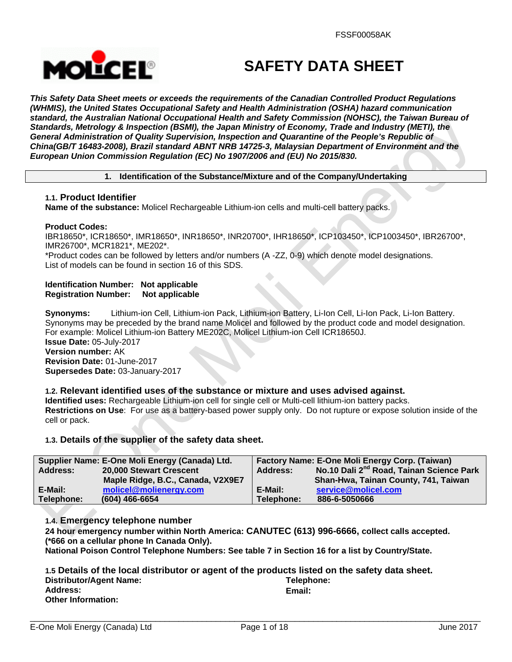

# **SAFETY DATA SHEET**

*This Safety Data Sheet meets or exceeds the requirements of the Canadian Controlled Product Regulations (WHMIS), the United States Occupational Safety and Health Administration (OSHA) hazard communication standard, the Australian National Occupational Health and Safety Commission (NOHSC), the Taiwan Bureau of Standards, Metrology & Inspection (BSMI), the Japan Ministry of Economy, Trade and Industry (METI), the General Administration of Quality Supervision, Inspection and Quarantine of the People's Republic of China(GB/T 16483-2008), Brazil standard ABNT NRB 14725-3, Malaysian Department of Environment and the European Union Commission Regulation (EC) No 1907/2006 and (EU) No 2015/830.* 

## **1. Identification of the Substance/Mixture and of the Company/Undertaking**

## **1.1. Product Identifier**

**Name of the substance:** Molicel Rechargeable Lithium-ion cells and multi-cell battery packs.

## **Product Codes:**

IBR18650\*, ICR18650\*, IMR18650\*, INR18650\*, INR20700\*, IHR18650\*, ICP103450\*, ICP1003450\*, IBR26700\*, IMR26700\*, MCR1821\*, ME202\*.

\*Product codes can be followed by letters and/or numbers (A -ZZ, 0-9) which denote model designations. List of models can be found in section 16 of this SDS.

#### **Identification Number: Not applicable Registration Number: Not applicable**

**Synonyms:** Lithium-ion Cell, Lithium-ion Pack, Lithium-ion Battery, Li-Ion Cell, Li-Ion Pack, Li-Ion Battery. Synonyms may be preceded by the brand name Molicel and followed by the product code and model designation. For example: Molicel Lithium-ion Battery ME202C, Molicel Lithium-ion Cell ICR18650J.

**Issue Date:** 05-July-2017 **Version number:** AK **Revision Date:** 01-June-2017 **Supersedes Date:** 03-January-2017

## **1.2. Relevant identified uses of the substance or mixture and uses advised against.**

**Identified uses:** Rechargeable Lithium-ion cell for single cell or Multi-cell lithium-ion battery packs. **Restrictions on Use**: For use as a battery-based power supply only. Do not rupture or expose solution inside of the cell or pack.

## **1.3. Details of the supplier of the safety data sheet.**

|            | Supplier Name: E-One Moli Energy (Canada) Ltd. |            | Factory Name: E-One Moli Energy Corp. (Taiwan)       |
|------------|------------------------------------------------|------------|------------------------------------------------------|
| Address:   | 20,000 Stewart Crescent                        | Address:   | No.10 Dali 2 <sup>nd</sup> Road, Tainan Science Park |
|            | Maple Ridge, B.C., Canada, V2X9E7              |            | Shan-Hwa, Tainan County, 741, Taiwan                 |
| E-Mail:    | molicel@molienergy.com                         | E-Mail:    | service@molicel.com                                  |
| Telephone: | $(604)$ 466-6654                               | Telephone: | 886-6-5050666                                        |

## **1.4. Emergency telephone number**

**24 hour emergency number within North America: CANUTEC (613) 996-6666, collect calls accepted. (\*666 on a cellular phone In Canada Only).** 

**National Poison Control Telephone Numbers: See table 7 in Section 16 for a list by Country/State.** 

|                           | 1.5 Details of the local distributor or agent of the products listed on the safety data sheet. |
|---------------------------|------------------------------------------------------------------------------------------------|
| Distributor/Agent Name:   | Telephone:                                                                                     |
| <b>Address:</b>           | Email:                                                                                         |
| <b>Other Information:</b> |                                                                                                |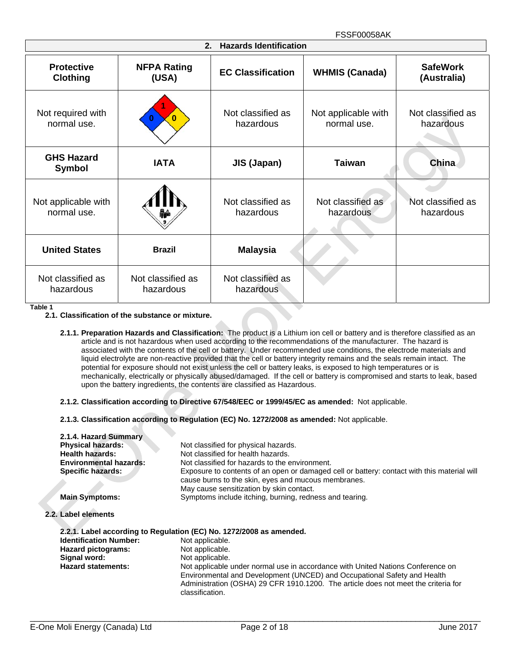| <b>Hazards Identification</b><br>2.  |                                |                                |                                    |                                |
|--------------------------------------|--------------------------------|--------------------------------|------------------------------------|--------------------------------|
| <b>Protective</b><br><b>Clothing</b> | <b>NFPA Rating</b><br>(USA)    | <b>EC Classification</b>       | <b>WHMIS (Canada)</b>              | <b>SafeWork</b><br>(Australia) |
| Not required with<br>normal use.     | $\mathbf{0}$                   | Not classified as<br>hazardous | Not applicable with<br>normal use. | Not classified as<br>hazardous |
| <b>GHS Hazard</b><br><b>Symbol</b>   | <b>IATA</b>                    | <b>JIS (Japan)</b>             | <b>Taiwan</b>                      | China                          |
| Not applicable with<br>normal use.   |                                | Not classified as<br>hazardous | Not classified as<br>hazardous     | Not classified as<br>hazardous |
| <b>United States</b>                 | <b>Brazil</b>                  | <b>Malaysia</b>                |                                    |                                |
| Not classified as<br>hazardous       | Not classified as<br>hazardous | Not classified as<br>hazardous |                                    |                                |

**Table 1**

- **2.1.2. Classification according to Directive 67/548/EEC or 1999/45/EC as amended:** Not applicable.
- **2.1.3. Classification according to Regulation (EC) No. 1272/2008 as amended:** Not applicable.

| 2.1.4. Hazard Summary         |                                                                                                                                                                                                                                                                      |
|-------------------------------|----------------------------------------------------------------------------------------------------------------------------------------------------------------------------------------------------------------------------------------------------------------------|
| <b>Physical hazards:</b>      | Not classified for physical hazards.                                                                                                                                                                                                                                 |
| <b>Health hazards:</b>        | Not classified for health hazards.                                                                                                                                                                                                                                   |
| Environmental hazards:        | Not classified for hazards to the environment.                                                                                                                                                                                                                       |
| <b>Specific hazards:</b>      | Exposure to contents of an open or damaged cell or battery: contact with this material will<br>cause burns to the skin, eyes and mucous membranes.<br>May cause sensitization by skin contact.                                                                       |
| <b>Main Symptoms:</b>         | Symptoms include itching, burning, redness and tearing.                                                                                                                                                                                                              |
| 2.2. Label elements           |                                                                                                                                                                                                                                                                      |
|                               | 2.2.1. Label according to Regulation (EC) No. 1272/2008 as amended.                                                                                                                                                                                                  |
| <b>Identification Number:</b> | Not applicable.                                                                                                                                                                                                                                                      |
| Hazard pictograms:            | Not applicable.                                                                                                                                                                                                                                                      |
| Signal word:                  | Not applicable.                                                                                                                                                                                                                                                      |
| <b>Hazard statements:</b>     | Not applicable under normal use in accordance with United Nations Conference on<br>Environmental and Development (UNCED) and Occupational Safety and Health<br>Administration (OSHA) 29 CFR 1910.1200. The article does not meet the criteria for<br>classification. |

**<sup>2.1.</sup> Classification of the substance or mixture.** 

**<sup>2.1.1.</sup> Preparation Hazards and Classification:** The product is a Lithium ion cell or battery and is therefore classified as an article and is not hazardous when used according to the recommendations of the manufacturer. The hazard is associated with the contents of the cell or battery. Under recommended use conditions, the electrode materials and liquid electrolyte are non-reactive provided that the cell or battery integrity remains and the seals remain intact. The potential for exposure should not exist unless the cell or battery leaks, is exposed to high temperatures or is mechanically, electrically or physically abused/damaged. If the cell or battery is compromised and starts to leak, based upon the battery ingredients, the contents are classified as Hazardous.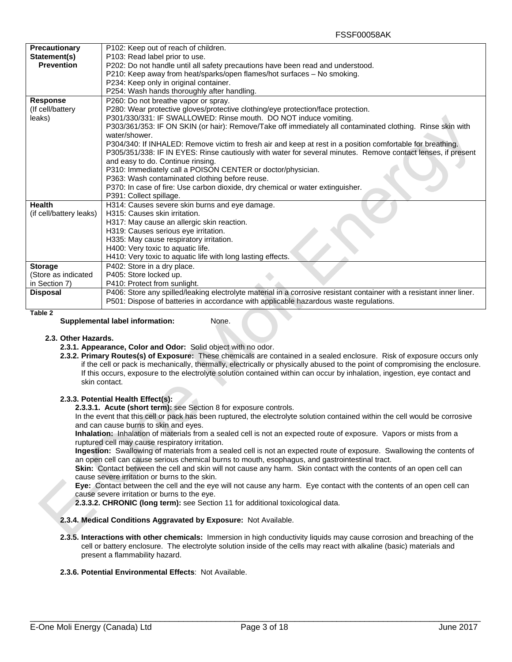| <b>Precautionary</b>    | P102: Keep out of reach of children.                                                                                  |  |  |
|-------------------------|-----------------------------------------------------------------------------------------------------------------------|--|--|
| Statement(s)            | P103: Read label prior to use.                                                                                        |  |  |
| <b>Prevention</b>       | P202: Do not handle until all safety precautions have been read and understood.                                       |  |  |
|                         | P210: Keep away from heat/sparks/open flames/hot surfaces - No smoking.                                               |  |  |
|                         | P234: Keep only in original container.                                                                                |  |  |
|                         | P254: Wash hands thoroughly after handling.                                                                           |  |  |
| <b>Response</b>         | P260: Do not breathe vapor or spray.                                                                                  |  |  |
| (If cell/battery)       | P280: Wear protective gloves/protective clothing/eye protection/face protection.                                      |  |  |
| leaks)                  | P301/330/331: IF SWALLOWED: Rinse mouth. DO NOT induce vomiting.                                                      |  |  |
|                         | P303/361/353: IF ON SKIN (or hair): Remove/Take off immediately all contaminated clothing. Rinse skin with            |  |  |
|                         | water/shower.                                                                                                         |  |  |
|                         | P304/340: If INHALED: Remove victim to fresh air and keep at rest in a position comfortable for breathing.            |  |  |
|                         | P305/351/338: IF IN EYES: Rinse cautiously with water for several minutes. Remove contact lenses, if present          |  |  |
|                         | and easy to do. Continue rinsing.                                                                                     |  |  |
|                         | P310: Immediately call a POISON CENTER or doctor/physician.                                                           |  |  |
|                         | P363: Wash contaminated clothing before reuse.                                                                        |  |  |
|                         | P370: In case of fire: Use carbon dioxide, dry chemical or water extinguisher.                                        |  |  |
|                         | P391: Collect spillage.                                                                                               |  |  |
| <b>Health</b>           | H314: Causes severe skin burns and eye damage.                                                                        |  |  |
| (if cell/battery leaks) | H315: Causes skin irritation.                                                                                         |  |  |
|                         | H317: May cause an allergic skin reaction.                                                                            |  |  |
|                         | H319: Causes serious eye irritation.                                                                                  |  |  |
|                         | H335: May cause respiratory irritation.                                                                               |  |  |
|                         | H400: Very toxic to aquatic life.                                                                                     |  |  |
|                         | H410: Very toxic to aquatic life with long lasting effects.                                                           |  |  |
| <b>Storage</b>          | P402: Store in a dry place.                                                                                           |  |  |
| (Store as indicated     | P405: Store locked up.                                                                                                |  |  |
| in Section 7)           | P410: Protect from sunlight.                                                                                          |  |  |
| <b>Disposal</b>         | P406: Store any spilled/leaking electrolyte material in a corrosive resistant container with a resistant inner liner. |  |  |
|                         | P501: Dispose of batteries in accordance with applicable hazardous waste regulations.                                 |  |  |
|                         |                                                                                                                       |  |  |

**Table 2**

#### **Supplemental label information:** None.

#### **2.3. Other Hazards.**

- **2.3.1. Appearance, Color and Odor:** Solid object with no odor.
- **2.3.2. Primary Routes(s) of Exposure:** These chemicals are contained in a sealed enclosure. Risk of exposure occurs only if the cell or pack is mechanically, thermally, electrically or physically abused to the point of compromising the enclosure. If this occurs, exposure to the electrolyte solution contained within can occur by inhalation, ingestion, eye contact and skin contact.

#### **2.3.3. Potential Health Effect(s):**

**2.3.3.1. Acute (short term):** see Section 8 for exposure controls.

In the event that this cell or pack has been ruptured, the electrolyte solution contained within the cell would be corrosive and can cause burns to skin and eyes.

**Inhalation:** Inhalation of materials from a sealed cell is not an expected route of exposure. Vapors or mists from a ruptured cell may cause respiratory irritation.

**Ingestion:** Swallowing of materials from a sealed cell is not an expected route of exposure. Swallowing the contents of an open cell can cause serious chemical burns to mouth, esophagus, and gastrointestinal tract.

**Skin:** Contact between the cell and skin will not cause any harm. Skin contact with the contents of an open cell can cause severe irritation or burns to the skin.

**Eye:** Contact between the cell and the eye will not cause any harm. Eye contact with the contents of an open cell can cause severe irritation or burns to the eye.

**2.3.3.2. CHRONIC (long term):** see Section 11 for additional toxicological data.

#### **2.3.4. Medical Conditions Aggravated by Exposure:** Not Available.

**2.3.5. Interactions with other chemicals:** Immersion in high conductivity liquids may cause corrosion and breaching of the cell or battery enclosure. The electrolyte solution inside of the cells may react with alkaline (basic) materials and present a flammability hazard.

#### **2.3.6. Potential Environmental Effects**: Not Available.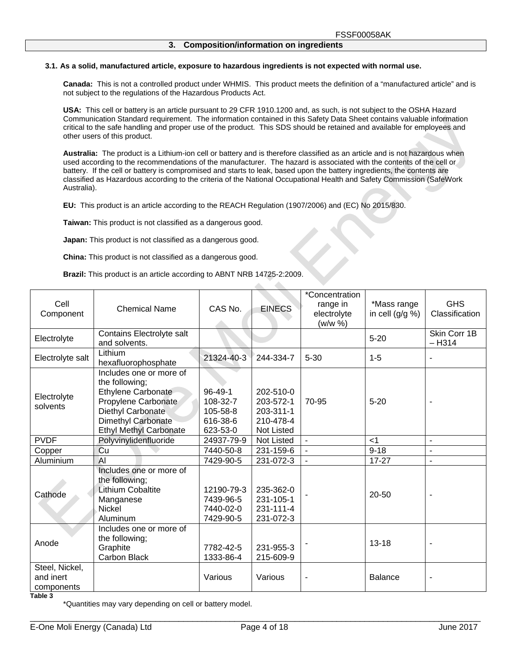#### **3.1. As a solid, manufactured article, exposure to hazardous ingredients is not expected with normal use.**

**Canada:** This is not a controlled product under WHMIS. This product meets the definition of a "manufactured article" and is not subject to the regulations of the Hazardous Products Act.

**USA:** This cell or battery is an article pursuant to 29 CFR 1910.1200 and, as such, is not subject to the OSHA Hazard Communication Standard requirement. The information contained in this Safety Data Sheet contains valuable information critical to the safe handling and proper use of the product. This SDS should be retained and available for employees and other users of this product.

**Australia:** The product is a Lithium-ion cell or battery and is therefore classified as an article and is not hazardous when used according to the recommendations of the manufacturer. The hazard is associated with the contents of the cell or battery. If the cell or battery is compromised and starts to leak, based upon the battery ingredients, the contents are classified as Hazardous according to the criteria of the National Occupational Health and Safety Commission (SafeWork Australia).

dh.

**EU:** This product is an article according to the REACH Regulation (1907/2006) and (EC) No 2015/830.

**Taiwan:** This product is not classified as a dangerous good.

**Japan:** This product is not classified as a dangerous good.

**China:** This product is not classified as a dangerous good.

**Brazil:** This product is an article according to ABNT NRB 14725-2:2009.

| Cell<br>Component                         | <b>Chemical Name</b>                                                                                                                                                             | CAS No.                                                       | <b>EINECS</b>                                                         | *Concentration<br>range in<br>electrolyte<br>(w/w %) | *Mass range<br>in cell $(g/g \%)$ | <b>GHS</b><br>Classification |
|-------------------------------------------|----------------------------------------------------------------------------------------------------------------------------------------------------------------------------------|---------------------------------------------------------------|-----------------------------------------------------------------------|------------------------------------------------------|-----------------------------------|------------------------------|
| Electrolyte                               | Contains Electrolyte salt<br>and solvents.                                                                                                                                       |                                                               |                                                                       |                                                      | $5 - 20$                          | Skin Corr 1B<br>$-H314$      |
| Electrolyte salt                          | Lithium<br>hexafluorophosphate                                                                                                                                                   | 21324-40-3                                                    | 244-334-7                                                             | $5 - 30$                                             | $1 - 5$                           | ٠                            |
| Electrolyte<br>solvents                   | Includes one or more of<br>the following;<br><b>Ethylene Carbonate</b><br>Propylene Carbonate<br>Diethyl Carbonate<br><b>Dimethyl Carbonate</b><br><b>Ethyl Methyl Carbonate</b> | $96 - 49 - 1$<br>108-32-7<br>105-58-8<br>616-38-6<br>623-53-0 | 202-510-0<br>203-572-1<br>203-311-1<br>210-478-4<br><b>Not Listed</b> | 70-95                                                | $5 - 20$                          |                              |
| <b>PVDF</b>                               | Polyvinylidenfluoride                                                                                                                                                            | 24937-79-9                                                    | <b>Not Listed</b>                                                     | $\blacksquare$                                       | $<$ 1                             | $\sim$                       |
| Copper                                    | Cu                                                                                                                                                                               | 7440-50-8                                                     | 231-159-6                                                             | ÷,                                                   | $9 - 18$                          |                              |
| Aluminium                                 | $\overline{A}$                                                                                                                                                                   | 7429-90-5                                                     | 231-072-3                                                             | $\overline{\phantom{a}}$                             | $17 - 27$                         | ÷,                           |
| Cathode                                   | Includes one or more of<br>the following;<br><b>Lithium Cobaltite</b><br>Manganese<br><b>Nickel</b><br>Aluminum                                                                  | 12190-79-3<br>7439-96-5<br>7440-02-0<br>7429-90-5             | 235-362-0<br>231-105-1<br>231-111-4<br>231-072-3                      |                                                      | 20-50                             |                              |
| Anode                                     | Includes one or more of<br>the following;<br>Graphite<br><b>Carbon Black</b>                                                                                                     | 7782-42-5<br>1333-86-4                                        | 231-955-3<br>215-609-9                                                |                                                      | $13 - 18$                         |                              |
| Steel, Nickel,<br>and inert<br>components |                                                                                                                                                                                  | Various                                                       | Various                                                               |                                                      | <b>Balance</b>                    |                              |

#### **Table 3**

\*Quantities may vary depending on cell or battery model.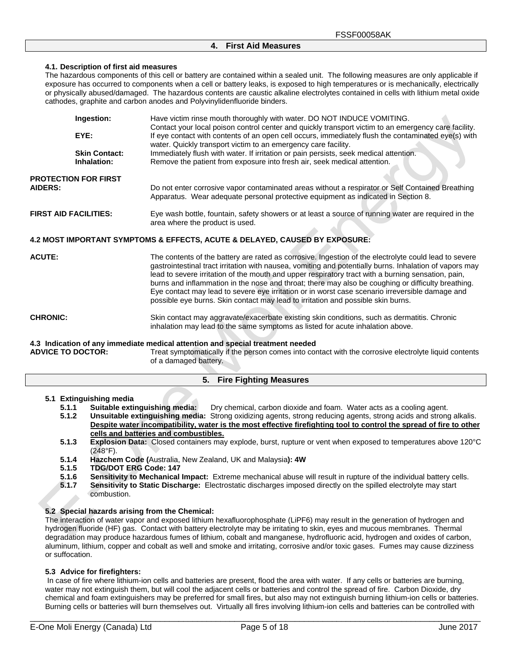## **4. First Aid Measures**

#### **4.1. Description of first aid measures**

The hazardous components of this cell or battery are contained within a sealed unit. The following measures are only applicable if exposure has occurred to components when a cell or battery leaks, is exposed to high temperatures or is mechanically, electrically or physically abused/damaged. The hazardous contents are caustic alkaline electrolytes contained in cells with lithium metal oxide cathodes, graphite and carbon anodes and Polyvinylidenfluoride binders.

|                              | Ingestion:                          | Have victim rinse mouth thoroughly with water. DO NOT INDUCE VOMITING.<br>Contact your local poison control center and quickly transport victim to an emergency care facility.        |
|------------------------------|-------------------------------------|---------------------------------------------------------------------------------------------------------------------------------------------------------------------------------------|
|                              | EYE:                                | If eye contact with contents of an open cell occurs, immediately flush the contaminated eye(s) with<br>water. Quickly transport victim to an emergency care facility.                 |
|                              | <b>Skin Contact:</b><br>Inhalation: | Immediately flush with water. If irritation or pain persists, seek medical attention.<br>Remove the patient from exposure into fresh air, seek medical attention.                     |
| <b>AIDERS:</b>               | <b>PROTECTION FOR FIRST</b>         | Do not enter corrosive vapor contaminated areas without a respirator or Self Contained Breathing<br>Apparatus. Wear adequate personal protective equipment as indicated in Section 8. |
| <b>FIRST AID FACILITIES:</b> |                                     | Eye wash bottle, fountain, safety showers or at least a source of running water are required in the<br>area where the product is used.                                                |

#### **4.2 MOST IMPORTANT SYMPTOMS & EFFECTS, ACUTE & DELAYED, CAUSED BY EXPOSURE:**

- **ACUTE:** The contents of the battery are rated as corrosive. Ingestion of the electrolyte could lead to severe gastrointestinal tract irritation with nausea, vomiting and potentially burns. Inhalation of vapors may lead to severe irritation of the mouth and upper respiratory tract with a burning sensation, pain, burns and inflammation in the nose and throat; there may also be coughing or difficulty breathing. Eye contact may lead to severe eye irritation or in worst case scenario irreversible damage and possible eye burns. Skin contact may lead to irritation and possible skin burns.
- **CHRONIC:** Skin contact may aggravate/exacerbate existing skin conditions, such as dermatitis. Chronic inhalation may lead to the same symptoms as listed for acute inhalation above.

## **4.3 Indication of any immediate medical attention and special treatment needed**

Treat symptomatically if the person comes into contact with the corrosive electrolyte liquid contents of a damaged battery.

#### **5. Fire Fighting Measures**

## **5.1 Extinguishing media**

- **5.1.1 Suitable extinguishing media:** Dry chemical, carbon dioxide and foam. Water acts as a cooling agent.
- **5.1.2 Unsuitable extinguishing media:** Strong oxidizing agents, strong reducing agents, strong acids and strong alkalis. **Despite water incompatibility, water is the most effective firefighting tool to control the spread of fire to other cells and batteries and combustibles.**
- **5.1.3 Explosion Data:** Closed containers may explode, burst, rupture or vent when exposed to temperatures above 120°C (248°F).
- **5.1.4 Hazchem Code (**Australia, New Zealand, UK and Malaysia**): 4W**
- **5.1.5 TDG/DOT ERG Code: 147**
- **5.1.6 Sensitivity to Mechanical Impact:** Extreme mechanical abuse will result in rupture of the individual battery cells.
- **5.1.7 Sensitivity to Static Discharge:** Electrostatic discharges imposed directly on the spilled electrolyte may start combustion.

#### **5.2 Special hazards arising from the Chemical:**

The interaction of water vapor and exposed lithium hexafluorophosphate (LiPF6) may result in the generation of hydrogen and hydrogen fluoride (HF) gas. Contact with battery electrolyte may be irritating to skin, eyes and mucous membranes. Thermal degradation may produce hazardous fumes of lithium, cobalt and manganese, hydrofluoric acid, hydrogen and oxides of carbon, aluminum, lithium, copper and cobalt as well and smoke and irritating, corrosive and/or toxic gases. Fumes may cause dizziness or suffocation.

#### **5.3 Advice for firefighters:**

In case of fire where lithium-ion cells and batteries are present, flood the area with water. If any cells or batteries are burning, water may not extinguish them, but will cool the adjacent cells or batteries and control the spread of fire. Carbon Dioxide, dry chemical and foam extinguishers may be preferred for small fires, but also may not extinguish burning lithium-ion cells or batteries. Burning cells or batteries will burn themselves out. Virtually all fires involving lithium-ion cells and batteries can be controlled with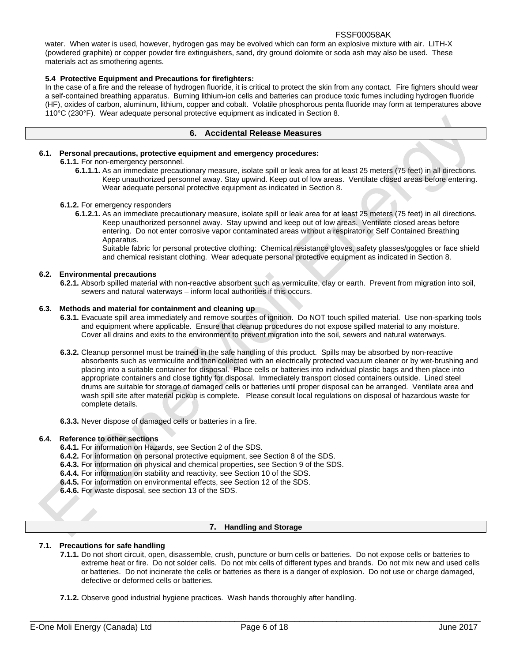water. When water is used, however, hydrogen gas may be evolved which can form an explosive mixture with air. LITH-X (powdered graphite) or copper powder fire extinguishers, sand, dry ground dolomite or soda ash may also be used. These materials act as smothering agents.

## **5.4 Protective Equipment and Precautions for firefighters:**

In the case of a fire and the release of hydrogen fluoride, it is critical to protect the skin from any contact. Fire fighters should wear a self-contained breathing apparatus. Burning lithium-ion cells and batteries can produce toxic fumes including hydrogen fluoride (HF), oxides of carbon, aluminum, lithium, copper and cobalt. Volatile phosphorous penta fluoride may form at temperatures above 110°C (230°F). Wear adequate personal protective equipment as indicated in Section 8.

## **6. Accidental Release Measures**

## **6.1. Personal precautions, protective equipment and emergency procedures:**

## **6.1.1.** For non-emergency personnel.

**6.1.1.1.** As an immediate precautionary measure, isolate spill or leak area for at least 25 meters (75 feet) in all directions. Keep unauthorized personnel away. Stay upwind. Keep out of low areas. Ventilate closed areas before entering. Wear adequate personal protective equipment as indicated in Section 8.

#### **6.1.2.** For emergency responders

**6.1.2.1.** As an immediate precautionary measure, isolate spill or leak area for at least 25 meters (75 feet) in all directions. Keep unauthorized personnel away. Stay upwind and keep out of low areas. Ventilate closed areas before entering. Do not enter corrosive vapor contaminated areas without a respirator or Self Contained Breathing Apparatus.

Suitable fabric for personal protective clothing: Chemical resistance gloves, safety glasses/goggles or face shield and chemical resistant clothing. Wear adequate personal protective equipment as indicated in Section 8.

#### **6.2. Environmental precautions**

**6.2.1.** Absorb spilled material with non-reactive absorbent such as vermiculite, clay or earth. Prevent from migration into soil, sewers and natural waterways – inform local authorities if this occurs.

#### **6.3. Methods and material for containment and cleaning up**

- **6.3.1.** Evacuate spill area immediately and remove sources of ignition. Do NOT touch spilled material. Use non-sparking tools and equipment where applicable. Ensure that cleanup procedures do not expose spilled material to any moisture. Cover all drains and exits to the environment to prevent migration into the soil, sewers and natural waterways.
- **6.3.2.** Cleanup personnel must be trained in the safe handling of this product. Spills may be absorbed by non-reactive absorbents such as vermiculite and then collected with an electrically protected vacuum cleaner or by wet-brushing and placing into a suitable container for disposal. Place cells or batteries into individual plastic bags and then place into appropriate containers and close tightly for disposal. Immediately transport closed containers outside. Lined steel drums are suitable for storage of damaged cells or batteries until proper disposal can be arranged. Ventilate area and wash spill site after material pickup is complete. Please consult local regulations on disposal of hazardous waste for complete details.

**6.3.3.** Never dispose of damaged cells or batteries in a fire.

#### **6.4. Reference to other sections**

- **6.4.1.** For information on Hazards, see Section 2 of the SDS.
- **6.4.2.** For information on personal protective equipment, see Section 8 of the SDS.
- **6.4.3.** For information on physical and chemical properties, see Section 9 of the SDS.
- **6.4.4.** For information on stability and reactivity, see Section 10 of the SDS.
- **6.4.5.** For information on environmental effects, see Section 12 of the SDS.
- **6.4.6.** For waste disposal, see section 13 of the SDS.

#### **7. Handling and Storage**

## **7.1. Precautions for safe handling**

- **7.1.1.** Do not short circuit, open, disassemble, crush, puncture or burn cells or batteries. Do not expose cells or batteries to extreme heat or fire. Do not solder cells. Do not mix cells of different types and brands. Do not mix new and used cells or batteries. Do not incinerate the cells or batteries as there is a danger of explosion. Do not use or charge damaged, defective or deformed cells or batteries.
- **7.1.2.** Observe good industrial hygiene practices. Wash hands thoroughly after handling.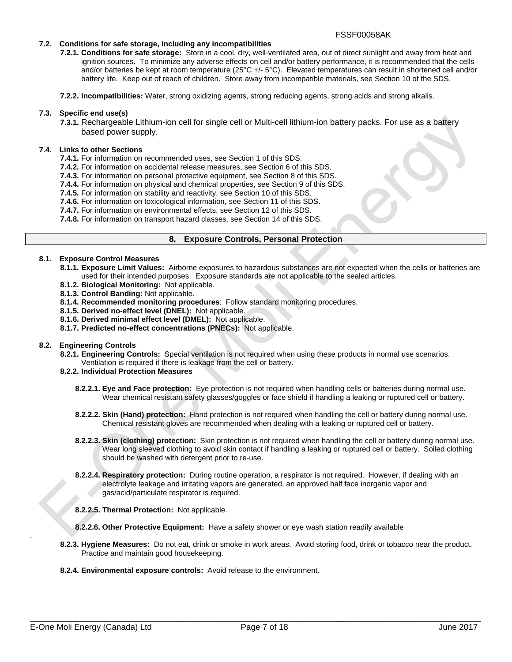#### **7.2. Conditions for safe storage, including any incompatibilities**

- **7.2.1. Conditions for safe storage:** Store in a cool, dry, well-ventilated area, out of direct sunlight and away from heat and ignition sources. To minimize any adverse effects on cell and/or battery performance, it is recommended that the cells and/or batteries be kept at room temperature (25°C +/- 5°C). Elevated temperatures can result in shortened cell and/or battery life. Keep out of reach of children. Store away from incompatible materials, see Section 10 of the SDS.
- **7.2.2. Incompatibilities:** Water, strong oxidizing agents, strong reducing agents, strong acids and strong alkalis.

### **7.3. Specific end use(s)**

**7.3.1.** Rechargeable Lithium-ion cell for single cell or Multi-cell lithium-ion battery packs. For use as a battery based power supply.

#### **7.4. Links to other Sections**

- **7.4.1.** For information on recommended uses, see Section 1 of this SDS.
- **7.4.2.** For information on accidental release measures, see Section 6 of this SDS.
- **7.4.3.** For information on personal protective equipment, see Section 8 of this SDS.
- **7.4.4.** For information on physical and chemical properties, see Section 9 of this SDS.
- **7.4.5.** For information on stability and reactivity, see Section 10 of this SDS.
- **7.4.6.** For information on toxicological information, see Section 11 of this SDS.
- **7.4.7.** For information on environmental effects, see Section 12 of this SDS.
- **7.4.8.** For information on transport hazard classes, see Section 14 of this SDS.

## **8. Exposure Controls, Personal Protection**

#### **8.1. Exposure Control Measures**

- **8.1.1. Exposure Limit Values:** Airborne exposures to hazardous substances are not expected when the cells or batteries are used for their intended purposes. Exposure standards are not applicable to the sealed articles.
- **8.1.2. Biological Monitoring:** Not applicable.
- **8.1.3. Control Banding:** Not applicable.
- **8.1.4. Recommended monitoring procedures**: Follow standard monitoring procedures.
- **8.1.5. Derived no-effect level (DNEL):** Not applicable.
- **8.1.6. Derived minimal effect level (DMEL):** Not applicable.
- **8.1.7. Predicted no-effect concentrations (PNECs):** Not applicable.

#### **8.2. Engineering Controls**

**8.2.1. Engineering Controls:** Special ventilation is not required when using these products in normal use scenarios. Ventilation is required if there is leakage from the cell or battery.

## **8.2.2. Individual Protection Measures**

- **8.2.2.1. Eye and Face protection:** Eye protection is not required when handling cells or batteries during normal use. Wear chemical resistant safety glasses/goggles or face shield if handling a leaking or ruptured cell or battery.
- **8.2.2.2. Skin (Hand) protection:** Hand protection is not required when handling the cell or battery during normal use. Chemical resistant gloves are recommended when dealing with a leaking or ruptured cell or battery.
- **8.2.2.3. Skin (clothing) protection:** Skin protection is not required when handling the cell or battery during normal use. Wear long sleeved clothing to avoid skin contact if handling a leaking or ruptured cell or battery. Soiled clothing should be washed with detergent prior to re-use.
- **8.2.2.4. Respiratory protection:** During routine operation, a respirator is not required. However, if dealing with an electrolyte leakage and irritating vapors are generated, an approved half face inorganic vapor and gas/acid/particulate respirator is required.
- **8.2.2.5. Thermal Protection:** Not applicable.
- **8.2.2.6. Other Protective Equipment:** Have a safety shower or eye wash station readily available
- **8.2.3. Hygiene Measures:** Do not eat, drink or smoke in work areas. Avoid storing food, drink or tobacco near the product. Practice and maintain good housekeeping.
- **8.2.4. Environmental exposure controls:** Avoid release to the environment.

.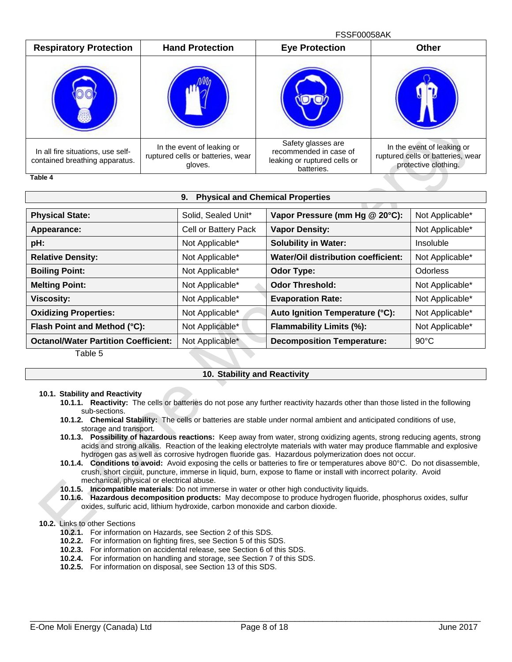|                                                                                      |                                                                            | <b>FSSF00058AK</b>                                                                         |                                                                                         |
|--------------------------------------------------------------------------------------|----------------------------------------------------------------------------|--------------------------------------------------------------------------------------------|-----------------------------------------------------------------------------------------|
| <b>Respiratory Protection</b>                                                        | <b>Hand Protection</b>                                                     | <b>Eye Protection</b>                                                                      | <b>Other</b>                                                                            |
|                                                                                      |                                                                            |                                                                                            |                                                                                         |
| In all fire situations, use self-<br>contained breathing apparatus.<br>$T - L L = A$ | In the event of leaking or<br>ruptured cells or batteries, wear<br>gloves. | Safety glasses are<br>recommended in case of<br>leaking or ruptured cells or<br>batteries. | In the event of leaking or<br>ruptured cells or batteries, wear<br>protective clothing. |

**Table 4** 

| <b>Physical and Chemical Properties</b><br>9.                                                      |                      |                                     |                 |  |  |
|----------------------------------------------------------------------------------------------------|----------------------|-------------------------------------|-----------------|--|--|
| <b>Physical State:</b><br>Vapor Pressure (mm Hg @ 20°C):<br>Solid, Sealed Unit*<br>Not Applicable* |                      |                                     |                 |  |  |
|                                                                                                    |                      |                                     |                 |  |  |
| Appearance:                                                                                        | Cell or Battery Pack | <b>Vapor Density:</b>               | Not Applicable* |  |  |
| pH:                                                                                                | Not Applicable*      | <b>Solubility in Water:</b>         | Insoluble       |  |  |
| <b>Relative Density:</b>                                                                           | Not Applicable*      | Water/Oil distribution coefficient: | Not Applicable* |  |  |
| <b>Boiling Point:</b>                                                                              | Not Applicable*      | <b>Odor Type:</b>                   | <b>Odorless</b> |  |  |
| <b>Melting Point:</b>                                                                              | Not Applicable*      | <b>Odor Threshold:</b>              | Not Applicable* |  |  |
| <b>Viscosity:</b>                                                                                  | Not Applicable*      | <b>Evaporation Rate:</b>            | Not Applicable* |  |  |
| <b>Oxidizing Properties:</b>                                                                       | Not Applicable*      | Auto Ignition Temperature (°C):     | Not Applicable* |  |  |
| Flash Point and Method (°C):                                                                       | Not Applicable*      | Flammability Limits (%):            | Not Applicable* |  |  |
| <b>Octanol/Water Partition Coefficient:</b><br>—  —                                                | Not Applicable*      | <b>Decomposition Temperature:</b>   | $90^{\circ}$ C  |  |  |

#### Table 5

## **10. Stability and Reactivity**

#### **10.1. Stability and Reactivity**

- **10.1.1. Reactivity:** The cells or batteries do not pose any further reactivity hazards other than those listed in the following sub-sections.
- **10.1.2. Chemical Stability:** The cells or batteries are stable under normal ambient and anticipated conditions of use, storage and transport.
- **10.1.3. Possibility of hazardous reactions:** Keep away from water, strong oxidizing agents, strong reducing agents, strong acids and strong alkalis. Reaction of the leaking electrolyte materials with water may produce flammable and explosive hydrogen gas as well as corrosive hydrogen fluoride gas. Hazardous polymerization does not occur.
- **10.1.4. Conditions to avoid:** Avoid exposing the cells or batteries to fire or temperatures above 80°C. Do not disassemble, crush, short circuit, puncture, immerse in liquid, burn, expose to flame or install with incorrect polarity. Avoid mechanical, physical or electrical abuse.

**10.1.5. Incompatible materials**: Do not immerse in water or other high conductivity liquids.

**10.1.6. Hazardous decomposition products:** May decompose to produce hydrogen fluoride, phosphorus oxides, sulfur oxides, sulfuric acid, lithium hydroxide, carbon monoxide and carbon dioxide.

## **10.2.** Links to other Sections

- **10.2.1.** For information on Hazards, see Section 2 of this SDS.
- **10.2.2.** For information on fighting fires, see Section 5 of this SDS.
- **10.2.3.** For information on accidental release, see Section 6 of this SDS.
- **10.2.4.** For information on handling and storage, see Section 7 of this SDS.
- **10.2.5.** For information on disposal, see Section 13 of this SDS.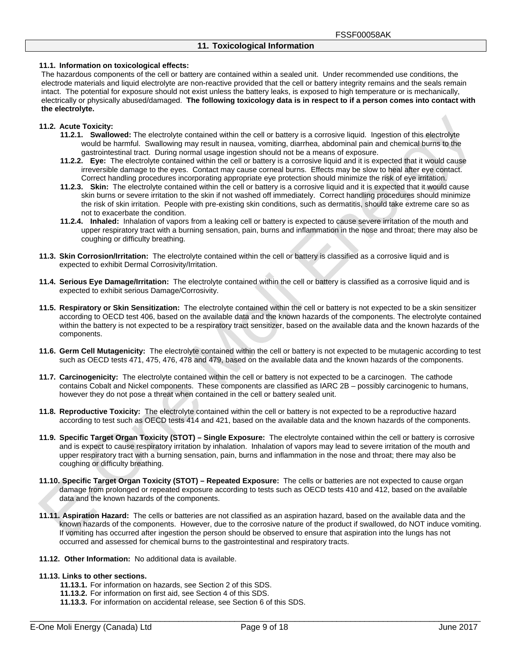#### **11.1. Information on toxicological effects:**

The hazardous components of the cell or battery are contained within a sealed unit. Under recommended use conditions, the electrode materials and liquid electrolyte are non-reactive provided that the cell or battery integrity remains and the seals remain intact. The potential for exposure should not exist unless the battery leaks, is exposed to high temperature or is mechanically, electrically or physically abused/damaged. **The following toxicology data is in respect to if a person comes into contact with the electrolyte.**

#### **11.2. Acute Toxicity:**

- **11.2.1. Swallowed:** The electrolyte contained within the cell or battery is a corrosive liquid. Ingestion of this electrolyte would be harmful. Swallowing may result in nausea, vomiting, diarrhea, abdominal pain and chemical burns to the gastrointestinal tract. During normal usage ingestion should not be a means of exposure.
- **11.2.2. Eye:** The electrolyte contained within the cell or battery is a corrosive liquid and it is expected that it would cause irreversible damage to the eyes. Contact may cause corneal burns. Effects may be slow to heal after eye contact. Correct handling procedures incorporating appropriate eye protection should minimize the risk of eye irritation.
- **11.2.3. Skin:** The electrolyte contained within the cell or battery is a corrosive liquid and it is expected that it would cause skin burns or severe irritation to the skin if not washed off immediately. Correct handling procedures should minimize the risk of skin irritation. People with pre-existing skin conditions, such as dermatitis, should take extreme care so as not to exacerbate the condition.
- **11.2.4. Inhaled:** Inhalation of vapors from a leaking cell or battery is expected to cause severe irritation of the mouth and upper respiratory tract with a burning sensation, pain, burns and inflammation in the nose and throat; there may also be coughing or difficulty breathing.
- **11.3. Skin Corrosion/Irritation:** The electrolyte contained within the cell or battery is classified as a corrosive liquid and is expected to exhibit Dermal Corrosivity/Irritation.
- **11.4. Serious Eye Damage/Irritation:** The electrolyte contained within the cell or battery is classified as a corrosive liquid and is expected to exhibit serious Damage/Corrosivity.
- **11.5. Respiratory or Skin Sensitization:** The electrolyte contained within the cell or battery is not expected to be a skin sensitizer according to OECD test 406, based on the available data and the known hazards of the components. The electrolyte contained within the battery is not expected to be a respiratory tract sensitizer, based on the available data and the known hazards of the components.
- **11.6. Germ Cell Mutagenicity:** The electrolyte contained within the cell or battery is not expected to be mutagenic according to test such as OECD tests 471, 475, 476, 478 and 479, based on the available data and the known hazards of the components.
- **11.7. Carcinogenicity:** The electrolyte contained within the cell or battery is not expected to be a carcinogen. The cathode contains Cobalt and Nickel components. These components are classified as IARC 2B – possibly carcinogenic to humans, however they do not pose a threat when contained in the cell or battery sealed unit.
- **11.8. Reproductive Toxicity:** The electrolyte contained within the cell or battery is not expected to be a reproductive hazard according to test such as OECD tests 414 and 421, based on the available data and the known hazards of the components.
- **11.9. Specific Target Organ Toxicity (STOT) – Single Exposure:** The electrolyte contained within the cell or battery is corrosive and is expect to cause respiratory irritation by inhalation. Inhalation of vapors may lead to severe irritation of the mouth and upper respiratory tract with a burning sensation, pain, burns and inflammation in the nose and throat; there may also be coughing or difficulty breathing.
- **11.10.Specific Target Organ Toxicity (STOT) – Repeated Exposure:** The cells or batteries are not expected to cause organ damage from prolonged or repeated exposure according to tests such as OECD tests 410 and 412, based on the available data and the known hazards of the components.
- **11.11.Aspiration Hazard:** The cells or batteries are not classified as an aspiration hazard, based on the available data and the known hazards of the components. However, due to the corrosive nature of the product if swallowed, do NOT induce vomiting. If vomiting has occurred after ingestion the person should be observed to ensure that aspiration into the lungs has not occurred and assessed for chemical burns to the gastrointestinal and respiratory tracts.
- **11.12. Other Information:** No additional data is available.

#### **11.13.Links to other sections.**

- **11.13.1.** For information on hazards, see Section 2 of this SDS.
- **11.13.2.** For information on first aid, see Section 4 of this SDS.
- **11.13.3.** For information on accidental release, see Section 6 of this SDS.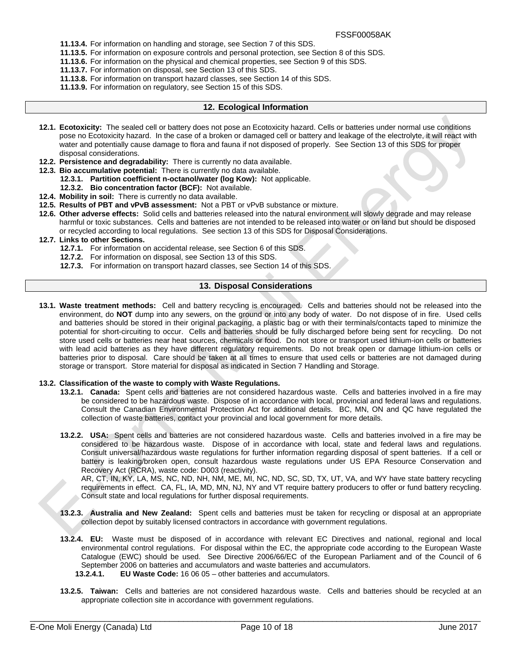- **11.13.4.** For information on handling and storage, see Section 7 of this SDS.
- **11.13.5.** For information on exposure controls and personal protection, see Section 8 of this SDS.
- **11.13.6.** For information on the physical and chemical properties, see Section 9 of this SDS.
	- **11.13.7.** For information on disposal, see Section 13 of this SDS.
- **11.13.8.** For information on transport hazard classes, see Section 14 of this SDS.
- **11.13.9.** For information on regulatory, see Section 15 of this SDS.

#### **12. Ecological Information**

- **12.1. Ecotoxicity:** The sealed cell or battery does not pose an Ecotoxicity hazard. Cells or batteries under normal use conditions pose no Ecotoxicity hazard. In the case of a broken or damaged cell or battery and leakage of the electrolyte, it will react with water and potentially cause damage to flora and fauna if not disposed of properly. See Section 13 of this SDS for proper disposal considerations.
- **12.2. Persistence and degradability:** There is currently no data available.
- **12.3. Bio accumulative potential:** There is currently no data available.
	- **12.3.1. Partition coefficient n-octanol/water (log Kow):** Not applicable.
	- **12.3.2. Bio concentration factor (BCF):** Not available.
- **12.4. Mobility in soil:** There is currently no data available.
- **12.5. Results of PBT and vPvB assessment:** Not a PBT or vPvB substance or mixture.
- **12.6. Other adverse effects:** Solid cells and batteries released into the natural environment will slowly degrade and may release harmful or toxic substances. Cells and batteries are not intended to be released into water or on land but should be disposed or recycled according to local regulations. See section 13 of this SDS for Disposal Considerations.

#### **12.7. Links to other Sections.**

- **12.7.1.** For information on accidental release, see Section 6 of this SDS.
- **12.7.2.** For information on disposal, see Section 13 of this SDS.
- **12.7.3.** For information on transport hazard classes, see Section 14 of this SDS.

#### **13. Disposal Considerations**

**13.1. Waste treatment methods:** Cell and battery recycling is encouraged. Cells and batteries should not be released into the environment, do **NOT** dump into any sewers, on the ground or into any body of water. Do not dispose of in fire. Used cells and batteries should be stored in their original packaging, a plastic bag or with their terminals/contacts taped to minimize the potential for short-circuiting to occur. Cells and batteries should be fully discharged before being sent for recycling. Do not store used cells or batteries near heat sources, chemicals or food. Do not store or transport used lithium-ion cells or batteries with lead acid batteries as they have different regulatory requirements. Do not break open or damage lithium-ion cells or batteries prior to disposal. Care should be taken at all times to ensure that used cells or batteries are not damaged during storage or transport. Store material for disposal as indicated in Section 7 Handling and Storage.

#### **13.2. Classification of the waste to comply with Waste Regulations.**

- **13.2.1. Canada:** Spent cells and batteries are not considered hazardous waste. Cells and batteries involved in a fire may be considered to be hazardous waste. Dispose of in accordance with local, provincial and federal laws and regulations. Consult the Canadian Environmental Protection Act for additional details. BC, MN, ON and QC have regulated the collection of waste batteries, contact your provincial and local government for more details.
- **13.2.2. USA:** Spent cells and batteries are not considered hazardous waste. Cells and batteries involved in a fire may be considered to be hazardous waste. Dispose of in accordance with local, state and federal laws and regulations. Consult universal/hazardous waste regulations for further information regarding disposal of spent batteries. If a cell or battery is leaking/broken open, consult hazardous waste regulations under US EPA Resource Conservation and Recovery Act (RCRA), waste code: D003 (reactivity).

AR, CT, IN, KY, LA, MS, NC, ND, NH, NM, ME, MI, NC, ND, SC, SD, TX, UT, VA, and WY have state battery recycling requirements in effect. CA, FL, IA, MD, MN, NJ, NY and VT require battery producers to offer or fund battery recycling. Consult state and local regulations for further disposal requirements.

- **13.2.3. Australia and New Zealand:** Spent cells and batteries must be taken for recycling or disposal at an appropriate collection depot by suitably licensed contractors in accordance with government regulations.
- **13.2.4. EU:** Waste must be disposed of in accordance with relevant EC Directives and national, regional and local environmental control regulations. For disposal within the EC, the appropriate code according to the European Waste Catalogue (EWC) should be used. See Directive 2006/66/EC of the European Parliament and of the Council of 6 September 2006 on batteries and accumulators and waste batteries and accumulators.
	- **13.2.4.1. EU Waste Code:** 16 06 05 other batteries and accumulators.
- **13.2.5. Taiwan:** Cells and batteries are not considered hazardous waste. Cells and batteries should be recycled at an appropriate collection site in accordance with government regulations.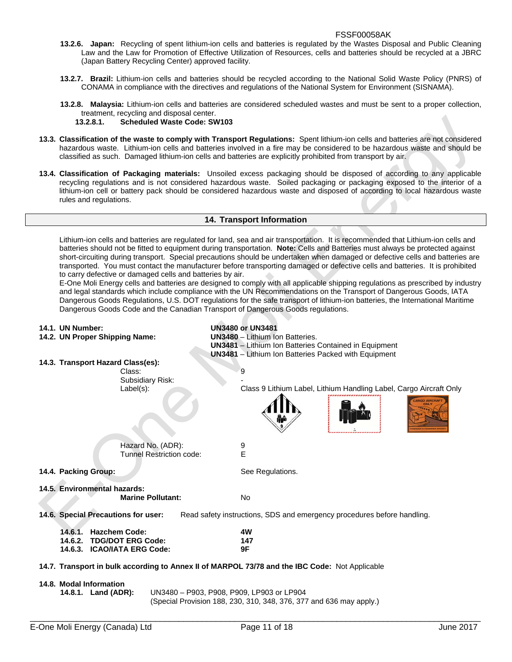- **13.2.6. Japan:** Recycling of spent lithium-ion cells and batteries is regulated by the Wastes Disposal and Public Cleaning Law and the Law for Promotion of Effective Utilization of Resources, cells and batteries should be recycled at a JBRC (Japan Battery Recycling Center) approved facility.
- **13.2.7. Brazil:** Lithium-ion cells and batteries should be recycled according to the National Solid Waste Policy (PNRS) of CONAMA in compliance with the directives and regulations of the National System for Environment (SISNAMA).
- **13.2.8. Malaysia:** Lithium-ion cells and batteries are considered scheduled wastes and must be sent to a proper collection, treatment, recycling and disposal center.

#### **13.2.8.1. Scheduled Waste Code: SW103**

- **13.3. Classification of the waste to comply with Transport Regulations:** Spent lithium-ion cells and batteries are not considered hazardous waste. Lithium-ion cells and batteries involved in a fire may be considered to be hazardous waste and should be classified as such. Damaged lithium-ion cells and batteries are explicitly prohibited from transport by air.
- **13.4. Classification of Packaging materials:** Unsoiled excess packaging should be disposed of according to any applicable recycling regulations and is not considered hazardous waste. Soiled packaging or packaging exposed to the interior of a lithium-ion cell or battery pack should be considered hazardous waste and disposed of according to local hazardous waste rules and regulations.

#### **14. Transport Information**

Lithium-ion cells and batteries are regulated for land, sea and air transportation. It is recommended that Lithium-ion cells and batteries should not be fitted to equipment during transportation. **Note:** Cells and Batteries must always be protected against short-circuiting during transport. Special precautions should be undertaken when damaged or defective cells and batteries are transported. You must contact the manufacturer before transporting damaged or defective cells and batteries. It is prohibited to carry defective or damaged cells and batteries by air.

E-One Moli Energy cells and batteries are designed to comply with all applicable shipping regulations as prescribed by industry and legal standards which include compliance with the UN Recommendations on the Transport of Dangerous Goods, IATA Dangerous Goods Regulations, U.S. DOT regulations for the safe transport of lithium-ion batteries, the International Maritime Dangerous Goods Code and the Canadian Transport of Dangerous Goods regulations.

| 14.1. UN Number:                               |                          | <b>UN3480 or UN3481</b>                                                                        |
|------------------------------------------------|--------------------------|------------------------------------------------------------------------------------------------|
| 14.2. UN Proper Shipping Name:                 |                          | <b>UN3480</b> - Lithium Ion Batteries.                                                         |
|                                                |                          | <b>UN3481</b> - Lithium Ion Batteries Contained in Equipment                                   |
|                                                |                          | <b>UN3481</b> - Lithium Ion Batteries Packed with Equipment                                    |
| 14.3. Transport Hazard Class(es):              |                          |                                                                                                |
|                                                | Class:                   | 9                                                                                              |
|                                                | Subsidiary Risk:         |                                                                                                |
|                                                | Label(s):                | Class 9 Lithium Label, Lithium Handling Label, Cargo Aircraft Only<br><b>ARGO AIRCRAF</b>      |
|                                                | Hazard No. (ADR):        | 9                                                                                              |
|                                                | Tunnel Restriction code: | E                                                                                              |
|                                                |                          |                                                                                                |
| 14.4. Packing Group:                           |                          | See Regulations.                                                                               |
|                                                |                          |                                                                                                |
| 14.5. Environmental hazards:                   |                          |                                                                                                |
|                                                | <b>Marine Pollutant:</b> | No.                                                                                            |
| 14.6. Special Precautions for user:            |                          | Read safety instructions, SDS and emergency procedures before handling.                        |
| 14.6.1. Hazchem Code:                          |                          | 4W                                                                                             |
| 14.6.2. TDG/DOT ERG Code:                      |                          | 147                                                                                            |
| 14.6.3. ICAO/IATA ERG Code:                    |                          | 9F                                                                                             |
|                                                |                          |                                                                                                |
|                                                |                          | 14.7. Transport in bulk according to Annex II of MARPOL 73/78 and the IBC Code: Not Applicable |
|                                                |                          |                                                                                                |
| 14.8. Modal Information<br>14.8.1. Land (ADR): |                          | UN3480 - P903, P908, P909, LP903 or LP904                                                      |
|                                                |                          | (Special Provision 188, 230, 310, 348, 376, 377 and 636 may apply.)                            |
|                                                |                          |                                                                                                |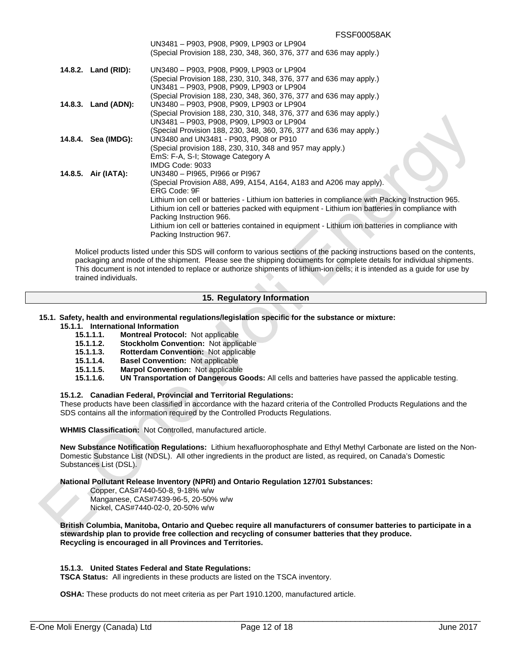|                     | UN3481 - P903, P908, P909, LP903 or LP904                                                         |
|---------------------|---------------------------------------------------------------------------------------------------|
|                     | (Special Provision 188, 230, 348, 360, 376, 377 and 636 may apply.)                               |
| 14.8.2. Land (RID): | UN3480 - P903, P908, P909, LP903 or LP904                                                         |
|                     | (Special Provision 188, 230, 310, 348, 376, 377 and 636 may apply.)                               |
|                     | UN3481 - P903, P908, P909, LP903 or LP904                                                         |
|                     | (Special Provision 188, 230, 348, 360, 376, 377 and 636 may apply.)                               |
| 14.8.3. Land (ADN): | UN3480 - P903, P908, P909, LP903 or LP904                                                         |
|                     | (Special Provision 188, 230, 310, 348, 376, 377 and 636 may apply.)                               |
|                     | UN3481 - P903, P908, P909, LP903 or LP904                                                         |
|                     | (Special Provision 188, 230, 348, 360, 376, 377 and 636 may apply.)                               |
| 14.8.4. Sea (IMDG): | UN3480 and UN3481 - P903, P908 or P910                                                            |
|                     | (Special provision 188, 230, 310, 348 and 957 may apply.)                                         |
|                     | EmS: F-A, S-I; Stowage Category A                                                                 |
|                     | IMDG Code: 9033                                                                                   |
| 14.8.5. Air (IATA): | UN3480 - PI965, PI966 or PI967                                                                    |
|                     | (Special Provision A88, A99, A154, A164, A183 and A206 may apply).                                |
|                     | ERG Code: 9F                                                                                      |
|                     | Lithium ion cell or batteries - Lithium ion batteries in compliance with Packing Instruction 965. |
|                     | Lithium ion cell or batteries packed with equipment - Lithium ion batteries in compliance with    |
|                     | Packing Instruction 966.                                                                          |
|                     | Lithium ion cell or batteries contained in equipment - Lithium ion batteries in compliance with   |
|                     | Packing Instruction 967.                                                                          |
|                     |                                                                                                   |

Molicel products listed under this SDS will conform to various sections of the packing instructions based on the contents, packaging and mode of the shipment. Please see the shipping documents for complete details for individual shipments. This document is not intended to replace or authorize shipments of lithium-ion cells; it is intended as a guide for use by trained individuals.

#### **15. Regulatory Information**

#### **15.1. Safety, health and environmental regulations/legislation specific for the substance or mixture:**

#### **15.1.1. International Information**

- **15.1.1.1. Montreal Protocol:** Not applicable
- **15.1.1.2. Stockholm Convention:** Not applicable
- **15.1.1.3. Rotterdam Convention:** Not applicable
- **15.1.1.4. Basel Convention:** Not applicable
- **15.1.1.5. Marpol Convention:** Not applicable
- **15.1.1.6. UN Transportation of Dangerous Goods:** All cells and batteries have passed the applicable testing.

#### **15.1.2. Canadian Federal, Provincial and Territorial Regulations:**

These products have been classified in accordance with the hazard criteria of the Controlled Products Regulations and the SDS contains all the information required by the Controlled Products Regulations.

**WHMIS Classification:** Not Controlled, manufactured article.

**New Substance Notification Regulations:** Lithium hexafluorophosphate and Ethyl Methyl Carbonate are listed on the Non-Domestic Substance List (NDSL). All other ingredients in the product are listed, as required, on Canada's Domestic Substances List (DSL).

**National Pollutant Release Inventory (NPRI) and Ontario Regulation 127/01 Substances:**

 Copper, CAS#7440-50-8, 9-18% w/w Manganese, CAS#7439-96-5, 20-50% w/w Nickel, CAS#7440-02-0, 20-50% w/w

**British Columbia, Manitoba, Ontario and Quebec require all manufacturers of consumer batteries to participate in a stewardship plan to provide free collection and recycling of consumer batteries that they produce. Recycling is encouraged in all Provinces and Territories.** 

#### **15.1.3. United States Federal and State Regulations:**

**TSCA Status:** All ingredients in these products are listed on the TSCA inventory.

**OSHA:** These products do not meet criteria as per Part 1910.1200, manufactured article.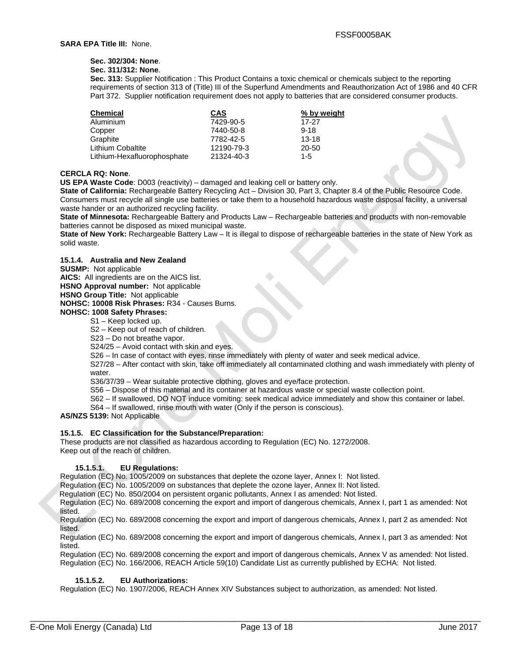## **Sec. 302/304: None**.

## **Sec. 311/312: None**.

**Sec. 313:** Supplier Notification : This Product Contains a toxic chemical or chemicals subject to the reporting requirements of section 313 of (Title) III of the Superfund Amendments and Reauthorization Act of 1986 and 40 CFR Part 372. Supplier notification requirement does not apply to batteries that are considered consumer products.

| <b>Chemical</b>             | <b>CAS</b> | % by weight |
|-----------------------------|------------|-------------|
| Aluminium                   | 7429-90-5  | 17-27       |
| Copper                      | 7440-50-8  | $9 - 18$    |
| Graphite                    | 7782-42-5  | $13 - 18$   |
| <b>Lithium Cobaltite</b>    | 12190-79-3 | 20-50       |
| Lithium-Hexafluorophosphate | 21324-40-3 | $1-5$       |

#### **CERCLA RQ: None**.

**US EPA Waste Code**: D003 (reactivity) – damaged and leaking cell or battery only.

**State of California:** Rechargeable Battery Recycling Act – Division 30, Part 3, Chapter 8.4 of the Public Resource Code. Consumers must recycle all single use batteries or take them to a household hazardous waste disposal facility, a universal waste hander or an authorized recycling facility.

**State of Minnesota:** Rechargeable Battery and Products Law – Rechargeable batteries and products with non-removable batteries cannot be disposed as mixed municipal waste.

**State of New York:** Rechargeable Battery Law – It is illegal to dispose of rechargeable batteries in the state of New York as solid waste.

#### **15.1.4. Australia and New Zealand**

**SUSMP:** Not applicable

**AICS:** All ingredients are on the AICS list.

**HSNO Approval number:** Not applicable

**HSNO Group Title:** Not applicable

**NOHSC: 10008 Risk Phrases:** R34 - Causes Burns.

## **NOHSC: 1008 Safety Phrases:**

S1 – Keep locked up.

S2 – Keep out of reach of children.

S23 – Do not breathe vapor.

S24/25 – Avoid contact with skin and eyes.

S26 – In case of contact with eyes, rinse immediately with plenty of water and seek medical advice.

S27/28 – After contact with skin, take off immediately all contaminated clothing and wash immediately with plenty of water.

S36/37/39 – Wear suitable protective clothing, gloves and eye/face protection.

S56 – Dispose of this material and its container at hazardous waste or special waste collection point.

- S62 If swallowed, DO NOT induce vomiting: seek medical advice immediately and show this container or label.
- S64 If swallowed, rinse mouth with water (Only if the person is conscious).

**AS/NZS 5139:** Not Applicable

#### **15.1.5. EC Classification for the Substance/Preparation:**

These products are not classified as hazardous according to Regulation (EC) No. 1272/2008. Keep out of the reach of children.

#### **15.1.5.1. EU Regulations:**

Regulation (EC) No. 1005/2009 on substances that deplete the ozone layer, Annex I: Not listed.

Regulation (EC) No. 1005/2009 on substances that deplete the ozone layer, Annex II: Not listed.

Regulation (EC) No. 850/2004 on persistent organic pollutants, Annex I as amended: Not listed.

Regulation (EC) No. 689/2008 concerning the export and import of dangerous chemicals, Annex I, part 1 as amended: Not listed.

Regulation (EC) No. 689/2008 concerning the export and import of dangerous chemicals, Annex I, part 2 as amended: Not listed.

Regulation (EC) No. 689/2008 concerning the export and import of dangerous chemicals, Annex I, part 3 as amended: Not listed.

Regulation (EC) No. 689/2008 concerning the export and import of dangerous chemicals, Annex V as amended: Not listed. Regulation (EC) No. 166/2006, REACH Article 59(10) Candidate List as currently published by ECHA: Not listed.

#### **15.1.5.2. EU Authorizations:**

Regulation (EC) No. 1907/2006, REACH Annex XIV Substances subject to authorization, as amended: Not listed.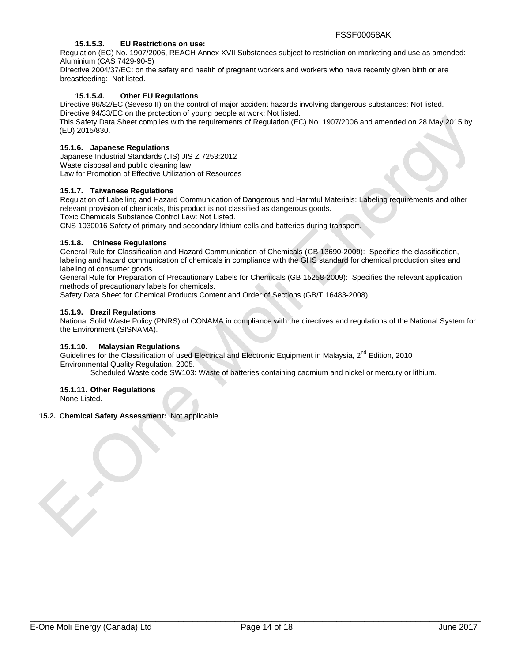#### **15.1.5.3. EU Restrictions on use:**

Regulation (EC) No. 1907/2006, REACH Annex XVII Substances subject to restriction on marketing and use as amended: Aluminium (CAS 7429-90-5)

Directive 2004/37/EC: on the safety and health of pregnant workers and workers who have recently given birth or are breastfeeding: Not listed.

## **15.1.5.4. Other EU Regulations**

Directive 96/82/EC (Seveso II) on the control of major accident hazards involving dangerous substances: Not listed. Directive 94/33/EC on the protection of young people at work: Not listed.

This Safety Data Sheet complies with the requirements of Regulation (EC) No. 1907/2006 and amended on 28 May 2015 by (EU) 2015/830.

#### **15.1.6. Japanese Regulations**

Japanese Industrial Standards (JIS) JIS Z 7253:2012 Waste disposal and public cleaning law Law for Promotion of Effective Utilization of Resources

#### **15.1.7. Taiwanese Regulations**

Regulation of Labelling and Hazard Communication of Dangerous and Harmful Materials: Labeling requirements and other relevant provision of chemicals, this product is not classified as dangerous goods.

Toxic Chemicals Substance Control Law: Not Listed.

CNS 1030016 Safety of primary and secondary lithium cells and batteries during transport.

#### **15.1.8. Chinese Regulations**

General Rule for Classification and Hazard Communication of Chemicals (GB 13690-2009): Specifies the classification, labeling and hazard communication of chemicals in compliance with the GHS standard for chemical production sites and labeling of consumer goods.

General Rule for Preparation of Precautionary Labels for Chemicals (GB 15258-2009): Specifies the relevant application methods of precautionary labels for chemicals.

Safety Data Sheet for Chemical Products Content and Order of Sections (GB/T 16483-2008)

#### **15.1.9. Brazil Regulations**

National Solid Waste Policy (PNRS) of CONAMA in compliance with the directives and regulations of the National System for the Environment (SISNAMA).

#### **15.1.10. Malaysian Regulations**

Guidelines for the Classification of used Electrical and Electronic Equipment in Malaysia, 2<sup>nd</sup> Edition. 2010 Environmental Quality Regulation, 2005.

Scheduled Waste code SW103: Waste of batteries containing cadmium and nickel or mercury or lithium.

## **15.1.11. Other Regulations**

None Listed.

#### **15.2. Chemical Safety Assessment:** Not applicable.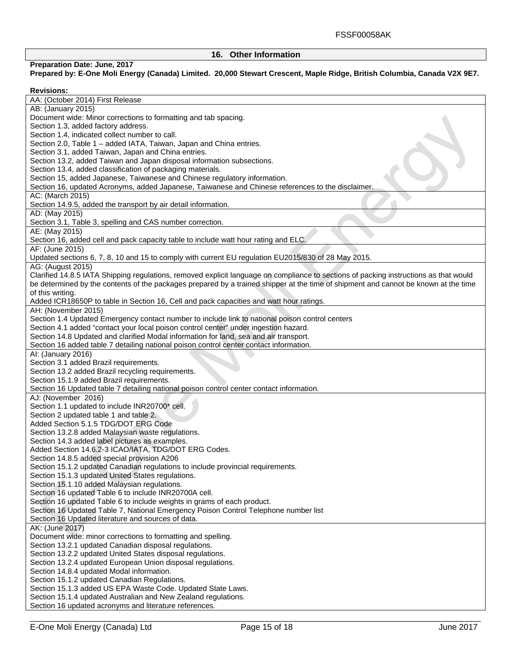## **16. Other Information**

## **Preparation Date: June, 2017**

## **Prepared by: E-One Moli Energy (Canada) Limited. 20,000 Stewart Crescent, Maple Ridge, British Columbia, Canada V2X 9E7.**

| <b>Revisions:</b>                                                                                                                     |
|---------------------------------------------------------------------------------------------------------------------------------------|
| AA: (October 2014) First Release                                                                                                      |
| AB: (January 2015)                                                                                                                    |
| Document wide: Minor corrections to formatting and tab spacing.                                                                       |
| Section 1.3, added factory address.                                                                                                   |
| Section 1.4, indicated collect number to call.                                                                                        |
| Section 2.0, Table 1 - added IATA, Taiwan, Japan and China entries.                                                                   |
| Section 3.1, added Taiwan, Japan and China entries.                                                                                   |
| Section 13.2, added Taiwan and Japan disposal information subsections.                                                                |
| Section 13.4, added classification of packaging materials.                                                                            |
| Section 15, added Japanese, Taiwanese and Chinese regulatory information.                                                             |
| Section 16, updated Acronyms, added Japanese, Taiwanese and Chinese references to the disclaimer.                                     |
| AC: (March 2015)                                                                                                                      |
| Section 14.9.5, added the transport by air detail information.                                                                        |
| AD: (May 2015)                                                                                                                        |
| Section 3.1, Table 3, spelling and CAS number correction.                                                                             |
| AE: (May 2015)                                                                                                                        |
| Section 16, added cell and pack capacity table to include watt hour rating and ELC.                                                   |
|                                                                                                                                       |
| AF: (June 2015)                                                                                                                       |
| Updated sections 6, 7, 8, 10 and 15 to comply with current EU regulation EU2015/830 of 28 May 2015.                                   |
| AG: (August 2015)                                                                                                                     |
| Clarified 14.8.5 IATA Shipping regulations, removed explicit language on compliance to sections of packing instructions as that would |
| be determined by the contents of the packages prepared by a trained shipper at the time of shipment and cannot be known at the time   |
| of this writing.                                                                                                                      |
| Added ICR18650P to table in Section 16, Cell and pack capacities and watt hour ratings.                                               |
| AH: (November 2015)                                                                                                                   |
| Section 1.4 Updated Emergency contact number to include link to national poison control centers                                       |
| Section 4.1 added "contact your local poison control center" under ingestion hazard.                                                  |
| Section 14.8 Updated and clarified Modal information for land, sea and air transport.                                                 |
| Section 16 added table 7 detailing national poison control center contact information.                                                |
| Al: (January 2016)                                                                                                                    |
| Section 3.1 added Brazil requirements.                                                                                                |
| Section 13.2 added Brazil recycling requirements.                                                                                     |
| Section 15.1.9 added Brazil requirements.                                                                                             |
| Section 16 Updated table 7 detailing national poison control center contact information.                                              |
| AJ: (November 2016)                                                                                                                   |
| Section 1.1 updated to include INR20700* cell.                                                                                        |
| Section 2 updated table 1 and table 2.                                                                                                |
| Added Section 5.1.5 TDG/DOT ERG Code                                                                                                  |
| Section 13.2.8 added Malaysian waste regulations.                                                                                     |
| Section 14.3 added label pictures as examples.                                                                                        |
| Added Section 14.6.2-3 ICAO/IATA, TDG/DOT ERG Codes.                                                                                  |
| Section 14.8.5 added special provision A206                                                                                           |
| Section 15.1.2 updated Canadian regulations to include provincial requirements.                                                       |
| Section 15.1.3 updated United States regulations.                                                                                     |
| Section 15.1.10 added Malaysian regulations.                                                                                          |
| Section 16 updated Table 6 to include INR20700A cell.                                                                                 |
| Section 16 updated Table 6 to include weights in grams of each product.                                                               |
|                                                                                                                                       |
| Section 16 Updated Table 7, National Emergency Poison Control Telephone number list                                                   |
| Section 16 Updated literature and sources of data.                                                                                    |
| AK: (June 2017)                                                                                                                       |
| Document wide: minor corrections to formatting and spelling.                                                                          |
| Section 13.2.1 updated Canadian disposal regulations.                                                                                 |
| Section 13.2.2 updated United States disposal regulations.                                                                            |
| Section 13.2.4 updated European Union disposal regulations.                                                                           |
| Section 14.8.4 updated Modal information.                                                                                             |
| Section 15.1.2 updated Canadian Regulations.                                                                                          |
| Section 15.1.3 added US EPA Waste Code. Updated State Laws.                                                                           |
| Section 15.1.4 updated Australian and New Zealand regulations.                                                                        |
| Section 16 updated acronyms and literature references.                                                                                |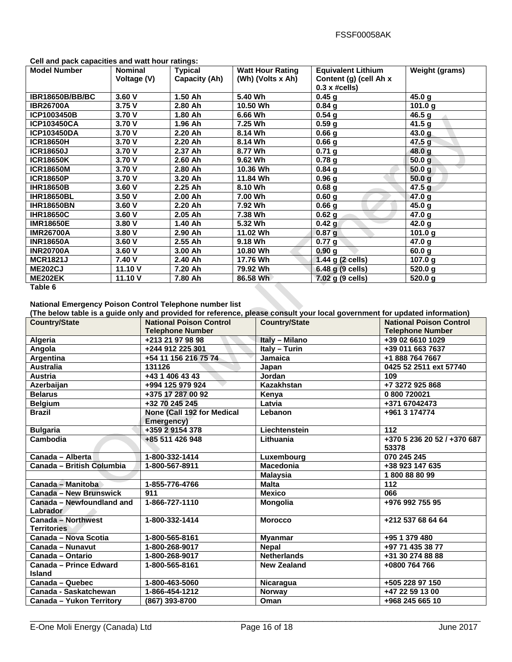| Gen and pack capacines and wait nour rainigs. |                |                |                         |                             |                       |
|-----------------------------------------------|----------------|----------------|-------------------------|-----------------------------|-----------------------|
| <b>Model Number</b>                           | <b>Nominal</b> | <b>Typical</b> | <b>Watt Hour Rating</b> | <b>Equivalent Lithium</b>   | <b>Weight (grams)</b> |
|                                               | Voltage (V)    | Capacity (Ah)  | (Wh) (Volts x Ah)       | Content (g) (cell Ah x      |                       |
|                                               |                |                |                         | $0.3 \times \text{\#cells}$ |                       |
| <b>IBR18650B/BB/BC</b>                        | 3.60V          | $1.50$ Ah      | 5.40 Wh                 | 0.45 g                      | 45.0 g                |
| <b>IBR26700A</b>                              | 3.75V          | 2.80 Ah        | 10.50 Wh                | $0.84$ g                    | 101.0 g               |
| ICP1003450B                                   | 3.70V          | 1.80 Ah        | 6.66 Wh                 | $0.54$ g                    | 46.5 g                |
| <b>ICP103450CA</b>                            | 3.70 V         | 1.96 Ah        | 7.25 Wh                 | 0.59 <sub>g</sub>           | 41.5 g                |
| <b>ICP103450DA</b>                            | 3.70 V         | 2.20 Ah        | 8.14 Wh                 | 0.66 <sub>g</sub>           | 43.0 g                |
| <b>ICR18650H</b>                              | 3.70V          | 2.20 Ah        | 8.14 Wh                 | 0.66 <sub>g</sub>           | 47.5 g                |
| <b>ICR18650J</b>                              | 3.70 V         | 2.37 Ah        | 8.77 Wh                 | 0.71 <sub>g</sub>           | 48.0 g                |
| <b>ICR18650K</b>                              | 3.70 V         | $2.60$ Ah      | 9.62 Wh                 | 0.78 <sub>g</sub>           | 50.0 <sub>g</sub>     |
| <b>ICR18650M</b>                              | 3.70 V         | 2.80 Ah        | 10.36 Wh                | 0.84 <sub>g</sub>           | 50.0 <sub>g</sub>     |
| <b>ICR18650P</b>                              | 3.70 V         | 3.20 Ah        | 11.84 Wh                | 0.96 g                      | 50.0 <sub>g</sub>     |
| <b>IHR18650B</b>                              | 3.60V          | $2.25$ Ah      | 8.10 Wh                 | 0.68 <sub>g</sub>           | 47.5 <sub>g</sub>     |
| <b>IHR18650BL</b>                             | 3.50V          | $2.00$ Ah      | 7.00 Wh                 | 0.60 g                      | 47.0 g                |
| <b>IHR18650BN</b>                             | 3.60V          | 2.20 Ah        | 7.92 Wh                 | 0.66 <sub>g</sub>           | 45.0 g                |
| <b>IHR18650C</b>                              | 3.60V          | 2.05 Ah        | 7.38 Wh                 | $0.62$ g                    | 47.0 g                |
| <b>IMR18650E</b>                              | 3.80V          | 1.40 Ah        | 5.32 Wh                 | 0.42 g                      | 42.0 g                |
| <b>IMR26700A</b>                              | 3.80 V         | 2.90 Ah        | 11.02 Wh                | 0.87 <sub>g</sub>           | 101.0 g               |
| <b>INR18650A</b>                              | 3.60V          | $2.55$ Ah      | 9.18 Wh                 | 0.77 <sub>q</sub>           | 47.0 g                |
| <b>INR20700A</b>                              | 3.60V          | 3.00 Ah        | 10.80 Wh                | 0.90 g                      | 60.0 g                |
| <b>MCR1821J</b>                               | 7.40 V         | 2.40 Ah        | 17.76 Wh                | 1.44 g (2 cells)            | 107.0 g               |
| <b>ME202CJ</b>                                | 11.10 V        | 7.20 Ah        | 79.92 Wh                | 6.48 g (9 cells)            | 520.0 g               |
| <b>ME202EK</b>                                | 11.10 V        | 7.80 Ah        | 86.58 Wh                | 7.02 g (9 cells)            | 520.0 g               |

**Cell and pack capacities and watt hour ratings:** 

**Table 6** 

#### **National Emergency Poison Control Telephone number list**

**(The below table is a guide only and provided for reference, please consult your local government for updated information)** 

| <b>Country/State</b>                            | <b>National Poison Control</b>           | The neight range is a guide only and provided for reference, piease consult your local government for updated imormation)<br><b>Country/State</b> | <b>National Poison Control</b>       |
|-------------------------------------------------|------------------------------------------|---------------------------------------------------------------------------------------------------------------------------------------------------|--------------------------------------|
|                                                 | <b>Telephone Number</b>                  |                                                                                                                                                   | <b>Telephone Number</b>              |
| Algeria                                         | +213 21 97 98 98                         | Italy - Milano                                                                                                                                    | +39 02 6610 1029                     |
| Angola                                          | +244 912 225 301                         | Italy - Turin                                                                                                                                     | +39 011 663 7637                     |
| Argentina                                       | +54 11 156 216 75 74                     | Jamaica                                                                                                                                           | +1 888 764 7667                      |
| <b>Australia</b>                                | 131126                                   | Japan                                                                                                                                             | 0425 52 2511 ext 57740               |
| <b>Austria</b>                                  | +43 1 406 43 43                          | Jordan                                                                                                                                            | 109                                  |
| Azerbaijan                                      | +994 125 979 924                         | Kazakhstan                                                                                                                                        | +7 3272 925 868                      |
| <b>Belarus</b>                                  | +375 17 287 00 92                        | Kenya                                                                                                                                             | 0 800 720021                         |
| <b>Belgium</b>                                  | +32 70 245 245                           | Latvia                                                                                                                                            | +371 67042473                        |
| <b>Brazil</b>                                   | None (Call 192 for Medical<br>Emergency) | Lebanon                                                                                                                                           | +961 3 174774                        |
| <b>Bulgaria</b>                                 | +359 2 9154 378                          | Liechtenstein                                                                                                                                     | 112                                  |
| Cambodia                                        | +85 511 426 948                          | Lithuania                                                                                                                                         | +370 5 236 20 52 / +370 687<br>53378 |
| Canada - Alberta                                | 1-800-332-1414                           | Luxembourg                                                                                                                                        | 070 245 245                          |
| Canada - British Columbia                       | 1-800-567-8911                           | <b>Macedonia</b>                                                                                                                                  | +38 923 147 635                      |
|                                                 |                                          | <b>Malaysia</b>                                                                                                                                   | 1800888099                           |
| Canada - Manitoba                               | 1-855-776-4766                           | <b>Malta</b>                                                                                                                                      | 112                                  |
| Canada - New Brunswick                          | 911                                      | <b>Mexico</b>                                                                                                                                     | 066                                  |
| Canada - Newfoundland and<br>Labrador           | 1-866-727-1110                           | Mongolia                                                                                                                                          | +976 992 755 95                      |
| <b>Canada - Northwest</b><br><b>Territories</b> | 1-800-332-1414                           | <b>Morocco</b>                                                                                                                                    | +212 537 68 64 64                    |
| Canada - Nova Scotia                            | 1-800-565-8161                           | <b>Myanmar</b>                                                                                                                                    | $\overline{+95}$ 1 379 480           |
| Canada - Nunavut                                | 1-800-268-9017                           | <b>Nepal</b>                                                                                                                                      | +97 71 435 38 77                     |
| Canada - Ontario                                | 1-800-268-9017                           | <b>Netherlands</b>                                                                                                                                | +31 30 274 88 88                     |
| Canada – Prince Edward<br><b>Island</b>         | 1-800-565-8161                           | <b>New Zealand</b>                                                                                                                                | +0800 764 766                        |
| Canada - Quebec                                 | 1-800-463-5060                           | Nicaragua                                                                                                                                         | +505 228 97 150                      |
| Canada - Saskatchewan                           | 1-866-454-1212                           | <b>Norway</b>                                                                                                                                     | +47 22 59 13 00                      |
| <b>Canada - Yukon Territory</b>                 | (867) 393-8700                           | Oman                                                                                                                                              | +968 245 665 10                      |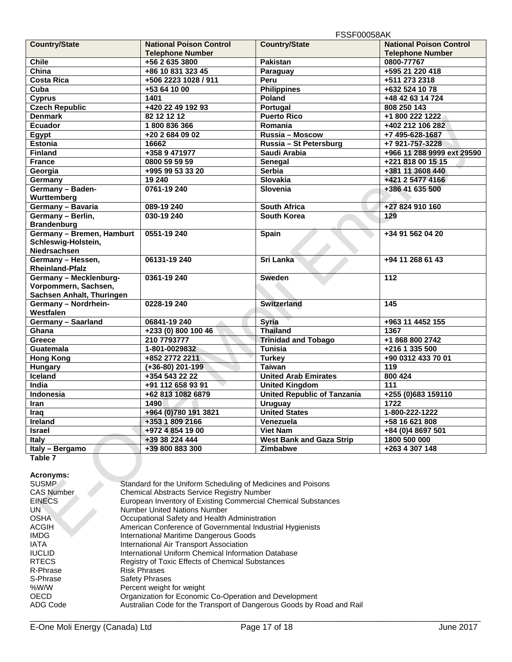|                           |                                | וריסטעט וטט ו                      |                                |
|---------------------------|--------------------------------|------------------------------------|--------------------------------|
| <b>Country/State</b>      | <b>National Poison Control</b> | <b>Country/State</b>               | <b>National Poison Control</b> |
|                           | <b>Telephone Number</b>        |                                    | <b>Telephone Number</b>        |
| <b>Chile</b>              | +56 2 635 3800                 | <b>Pakistan</b>                    | 0800-77767                     |
| China                     | +86 10 831 323 45              | Paraguay                           | +595 21 220 418                |
| <b>Costa Rica</b>         | +506 2223 1028 / 911           | Peru                               | +511 273 2318                  |
| Cuba                      | +53 64 10 00                   | <b>Philippines</b>                 | +632 524 10 78                 |
| <b>Cyprus</b>             | 1401                           | Poland                             | +48 42 63 14 724               |
| <b>Czech Republic</b>     | +420 22 49 192 93              | Portugal                           | 808 250 143                    |
| <b>Denmark</b>            | 82 12 12 12                    | <b>Puerto Rico</b>                 | +1 800 222 1222                |
| <b>Ecuador</b>            | 1800836366                     | Romania                            | +402 212 106 282               |
| Egypt                     | +20 2 684 09 02                | Russia - Moscow                    | +7 495-628-1687                |
| <b>Estonia</b>            | 16662                          | Russia - St Petersburg             | +7 921-757-3228                |
| Finland                   | +358 9 471977                  | Saudi Arabia                       | +966 11 288 9999 ext 29590     |
| <b>France</b>             | 0800 59 59 59                  | Senegal                            | +221 818 00 15 15              |
| Georgia                   | +995 99 53 33 20               | <b>Serbia</b>                      | +381 11 3608 440               |
| Germany                   | 19 240                         | <b>Slovakia</b>                    | +421 2 5477 4166               |
| Germany - Baden-          | 0761-19 240                    | <b>Slovenia</b>                    | +386 41 635 500                |
| Wurttemberg               |                                |                                    |                                |
| Germany - Bavaria         | 089-19 240                     | <b>South Africa</b>                | +27 824 910 160                |
| Germany - Berlin,         | 030-19 240                     | <b>South Korea</b>                 | 129                            |
| <b>Brandenburg</b>        |                                |                                    |                                |
| Germany - Bremen, Hamburt | 0551-19 240                    | Spain                              | +34 91 562 04 20               |
| Schleswig-Holstein,       |                                |                                    |                                |
| Niedrsachsen              |                                |                                    |                                |
| Germany - Hessen,         | 06131-19 240                   | Sri Lanka                          | +94 11 268 61 43               |
| <b>Rheinland-Pfalz</b>    |                                |                                    |                                |
| Germany - Mecklenburg-    | 0361-19 240                    | <b>Sweden</b>                      | 112                            |
| Vorpommern, Sachsen,      |                                |                                    |                                |
| Sachsen Anhalt, Thuringen |                                |                                    |                                |
| Germany - Nordrhein-      | 0228-19 240                    | <b>Switzerland</b>                 | 145                            |
| <b>Westfalen</b>          |                                |                                    |                                |
| Germany - Saarland        | 06841-19 240                   | <b>Syria</b>                       | +963 11 4452 155               |
| Ghana                     | +233 (0) 800 100 46            | <b>Thailand</b>                    | 1367                           |
| Greece                    | 210 7793777                    | <b>Trinidad and Tobago</b>         | +1 868 800 2742                |
| Guatemala                 | 1-801-0029832                  | <b>Tunisia</b>                     | +216 1 335 500                 |
| <b>Hong Kong</b>          | +852 2772 2211                 | <b>Turkey</b>                      | +90 0312 433 70 01             |
| <b>Hungary</b>            | $(+36-80)$ 201-199             | <b>Taiwan</b>                      | 119                            |
| Iceland                   | +354 543 22 22                 | <b>United Arab Emirates</b>        | 800 424                        |
| India                     | +91 112 658 93 91              | <b>United Kingdom</b>              | 111                            |
| <b>Indonesia</b>          | +62 813 1082 6879              | <b>United Republic of Tanzania</b> | +255 (0)683 159110             |
| Iran                      | 1490                           | <b>Uruguay</b>                     | 1722                           |
| <b>Traq</b>               | +964 (0)780 191 3821           | <b>United States</b>               | 1-800-222-1222                 |
| <b>Ireland</b>            | +353 1 809 2166                | Venezuela                          | +58 16 621 808                 |
| <b>Israel</b>             | +972 4 854 19 00               | <b>Viet Nam</b>                    | +84 (0)4 8697 501              |
| Italy                     | +39 38 224 444                 | <b>West Bank and Gaza Strip</b>    | 1800 500 000                   |
| Italy - Bergamo           | +39 800 883 300                | Zimbabwe                           | +263 4 307 148                 |

**Table 7** 

**Acronyms:** 

| Standard for the Uniform Scheduling of Medicines and Poisons          |
|-----------------------------------------------------------------------|
| <b>Chemical Abstracts Service Registry Number</b>                     |
| European Inventory of Existing Commercial Chemical Substances         |
| <b>Number United Nations Number</b>                                   |
| Occupational Safety and Health Administration                         |
| American Conference of Governmental Industrial Hygienists             |
| International Maritime Dangerous Goods                                |
| International Air Transport Association                               |
| International Uniform Chemical Information Database                   |
| <b>Registry of Toxic Effects of Chemical Substances</b>               |
| <b>Risk Phrases</b>                                                   |
| <b>Safety Phrases</b>                                                 |
| Percent weight for weight                                             |
| Organization for Economic Co-Operation and Development                |
| Australian Code for the Transport of Dangerous Goods by Road and Rail |
|                                                                       |

 $\mathbb{R}^2$